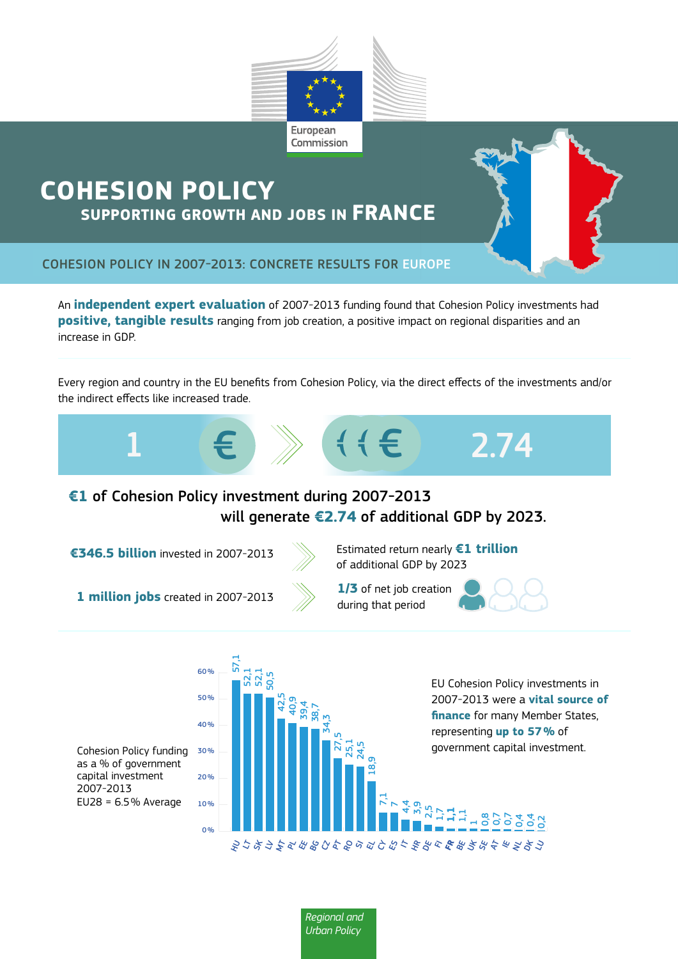

# **COHESION POLICY SUPPORTING GROWTH AND JOBS IN FRANCE**



COHESION POLICY IN 2007-2013: CONCRETE RESULTS FOR EUROPE

An **independent expert evaluation** of 2007-2013 funding found that Cohesion Policy investments had **positive, tangible results** ranging from job creation, a positive impact on regional disparities and an increase in GDP.

Every region and country in the EU benefits from Cohesion Policy, via the direct effects of the investments and/or the indirect effects like increased trade.



## **€1** of Cohesion Policy investment during 2007-2013 will generate **€2.74** of additional GDP by 2023.



**€346.5 billion** invested in 2007-2013 Estimated return nearly **€1 trillion** of additional GDP by 2023

**1 million jobs** created in 2007-2013 during that period

 $0%$ 

 $40%$ 

50 %

 $60%$ 

57,1 52,1 52,1 50,5



42,5 40,9 39,4 38,7 34,3 27,5 25,1 24,5 18,9

**Regional and** 

*Urban Policy*

**1/3** of net job creation

 $\mathsf{r}_1$  $\overline{r}$ 4,4 5<br>ማ 2,5  $\frac{1}{2}$ **1,1**   $\frac{1}{2}$  $\overline{1}$ 8<br>0, 0,7 0,7  $\overline{a}$  $\overline{a}$  $\frac{2}{5}$ 

**FR** BE UK SE AT IE NL DK LU FI HR DE IT HU LT SK LV MT PL EE BG CZ PT RO SI EL CY ES





EU Cohesion Policy investments in 2007-2013 were a **vital source of finance** for many Member States, representing **up to 57%** of government capital investment.